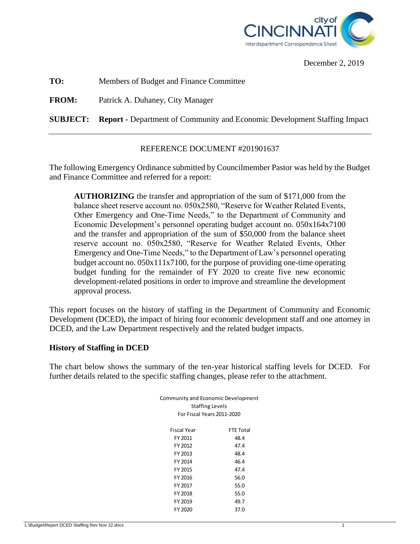

December 2, 2019

**TO:** Members of Budget and Finance Committee

**FROM:** Patrick A. Duhaney, City Manager

**SUBJECT: Report -** Department of Community and Economic Development Staffing Impact

#### REFERENCE DOCUMENT #201901637

The following Emergency Ordinance submitted by Councilmember Pastor was held by the Budget and Finance Committee and referred for a report:

**AUTHORIZING** the transfer and appropriation of the sum of \$171,000 from the balance sheet reserve account no. 050x2580, "Reserve for Weather Related Events, Other Emergency and One-Time Needs," to the Department of Community and Economic Development's personnel operating budget account no. 050x164x7100 and the transfer and appropriation of the sum of \$50,000 from the balance sheet reserve account no. 050x2580, "Reserve for Weather Related Events, Other Emergency and One-Time Needs," to the Department of Law's personnel operating budget account no. 050x111x7100, for the purpose of providing one-time operating budget funding for the remainder of FY 2020 to create five new economic development-related positions in order to improve and streamline the development approval process.

This report focuses on the history of staffing in the Department of Community and Economic Development (DCED), the impact of hiring four economic development staff and one attorney in DCED, and the Law Department respectively and the related budget impacts.

#### **History of Staffing in DCED**

The chart below shows the summary of the ten-year historical staffing levels for DCED. For further details related to the specific staffing changes, please refer to the attachment.

| <b>Community and Economic Development</b><br><b>Staffing Levels</b><br>For Fiscal Years 2011-2020 |                  |
|---------------------------------------------------------------------------------------------------|------------------|
| Fiscal Year                                                                                       | <b>FTE Total</b> |
| FY 2011                                                                                           | 48.4             |
| FY 2012                                                                                           | 47.4             |
| FY 2013                                                                                           | 48.4             |
| FY 2014                                                                                           | 46.4             |
| FY 2015                                                                                           | 47.4             |
| FY 2016                                                                                           | 56.0             |
| FY 2017                                                                                           | 55.0             |
| FY 2018                                                                                           | 55.0             |
| FY 2019                                                                                           | 49.7             |
| FY 2020                                                                                           | 37.0             |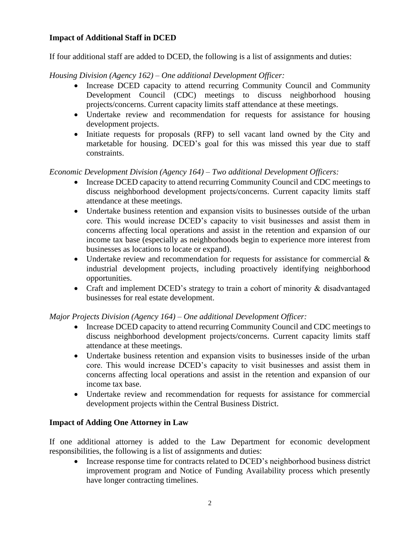# **Impact of Additional Staff in DCED**

If four additional staff are added to DCED, the following is a list of assignments and duties:

*Housing Division (Agency 162) – One additional Development Officer:*

- Increase DCED capacity to attend recurring Community Council and Community Development Council (CDC) meetings to discuss neighborhood housing projects/concerns. Current capacity limits staff attendance at these meetings.
- Undertake review and recommendation for requests for assistance for housing development projects.
- Initiate requests for proposals (RFP) to sell vacant land owned by the City and marketable for housing. DCED's goal for this was missed this year due to staff constraints.

## *Economic Development Division (Agency 164) – Two additional Development Officers:*

- Increase DCED capacity to attend recurring Community Council and CDC meetings to discuss neighborhood development projects/concerns. Current capacity limits staff attendance at these meetings.
- Undertake business retention and expansion visits to businesses outside of the urban core. This would increase DCED's capacity to visit businesses and assist them in concerns affecting local operations and assist in the retention and expansion of our income tax base (especially as neighborhoods begin to experience more interest from businesses as locations to locate or expand).
- Undertake review and recommendation for requests for assistance for commercial  $\&$ industrial development projects, including proactively identifying neighborhood opportunities.
- Craft and implement DCED's strategy to train a cohort of minority & disadvantaged businesses for real estate development.

### *Major Projects Division (Agency 164) – One additional Development Officer:*

- Increase DCED capacity to attend recurring Community Council and CDC meetings to discuss neighborhood development projects/concerns. Current capacity limits staff attendance at these meetings.
- Undertake business retention and expansion visits to businesses inside of the urban core. This would increase DCED's capacity to visit businesses and assist them in concerns affecting local operations and assist in the retention and expansion of our income tax base.
- Undertake review and recommendation for requests for assistance for commercial development projects within the Central Business District.

### **Impact of Adding One Attorney in Law**

If one additional attorney is added to the Law Department for economic development responsibilities, the following is a list of assignments and duties:

• Increase response time for contracts related to DCED's neighborhood business district improvement program and Notice of Funding Availability process which presently have longer contracting timelines.